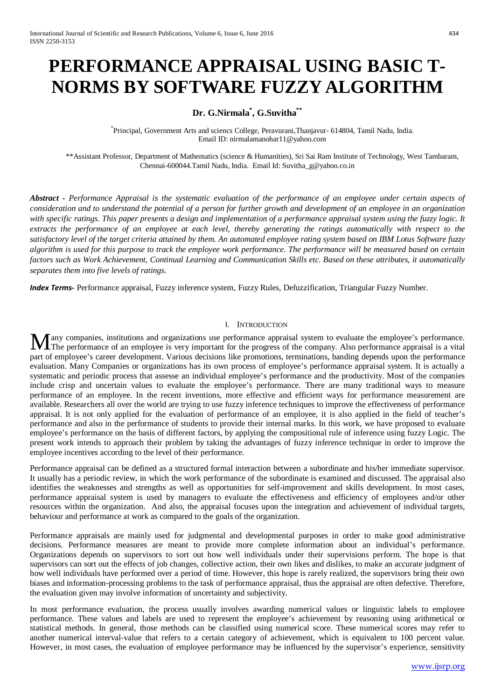# **PERFORMANCE APPRAISAL USING BASIC T-NORMS BY SOFTWARE FUZZY ALGORITHM**

## **Dr. G.Nirmala\* , G.Suvitha\*\***

\* Principal, Government Arts and sciencs College, Peravurani,Thanjavur- 614804, Tamil Nadu, India. Email ID: nirmalamanohar11@yahoo.com

\*\*Assistant Professor, Department of Mathematics (science & Humanities), Sri Sai Ram Institute of Technology, West Tambaram, Chennai-600044.Tamil Nadu, India. Email Id: Suvitha\_g@yahoo.co.in

*Abstract - Performance Appraisal is the systematic evaluation of the performance of an employee under certain aspects of consideration and to understand the potential of a person for further growth and development of an employee in an organization with specific ratings. This paper presents a design and implementation of a performance appraisal system using the fuzzy logic. It extracts the performance of an employee at each level, thereby generating the ratings automatically with respect to the satisfactory level of the target criteria attained by them. An automated employee rating system based on IBM Lotus Software fuzzy algorithm is used for this purpose to track the employee work performance. The performance will be measured based on certain factors such as Work Achievement, Continual Learning and Communication Skills etc. Based on these attributes, it automatically separates them into five levels of ratings.*

*Index Terms***-** Performance appraisal, Fuzzy inference system, Fuzzy Rules, Defuzzification, Triangular Fuzzy Number.

## I. INTRODUCTION

any companies, institutions and organizations use performance appraisal system to evaluate the employee's performance. Many companies, institutions and organizations use performance appraisal system to evaluate the employee's performance.<br>The performance of an employee is very important for the progress of the company. Also performance app part of employee's career development. Various decisions like promotions, terminations, banding depends upon the performance evaluation. Many Companies or organizations has its own process of employee's performance appraisal system. It is actually a systematic and periodic process that assesse an individual employee's performance and the productivity. Most of the companies include crisp and uncertain values to evaluate the employee's performance. There are many traditional ways to measure performance of an employee. In the recent inventions, more effective and efficient ways for performance measurement are available. Researchers all over the world are trying to use fuzzy inference techniques to improve the effectiveness of performance appraisal. It is not only applied for the evaluation of performance of an employee, it is also applied in the field of teacher's performance and also in the performance of students to provide their internal marks. In this work, we have proposed to evaluate employee's performance on the basis of different factors, by applying the compositional rule of inference using fuzzy Logic. The present work intends to approach their problem by taking the advantages of fuzzy inference technique in order to improve the employee incentives according to the level of their performance.

Performance appraisal can be defined as a structured formal interaction between a subordinate and his/her immediate supervisor. It usually has a periodic review, in which the work performance of the subordinate is examined and discussed. The appraisal also identifies the weaknesses and strengths as well as opportunities for self-improvement and skills development. In most cases, performance appraisal system is used by managers to evaluate the effectiveness and efficiency of employees and/or other resources within the organization. And also, the appraisal focuses upon the integration and achievement of individual targets, behaviour and performance at work as compared to the goals of the organization.

Performance appraisals are mainly used for judgmental and developmental purposes in order to make good administrative decisions. Performance measures are meant to provide more complete information about an individual's performance. Organizations depends on supervisors to sort out how well individuals under their supervisions perform. The hope is that supervisors can sort out the effects of job changes, collective action, their own likes and dislikes, to make an accurate judgment of how well individuals have performed over a period of time. However, this hope is rarely realized, the supervisors bring their own biases and information-processing problems to the task of performance appraisal, thus the appraisal are often defective. Therefore, the evaluation given may involve information of uncertainty and subjectivity.

In most performance evaluation, the process usually involves awarding numerical values or linguistic labels to employee performance. These values and labels are used to represent the employee's achievement by reasoning using arithmetical or statistical methods. In general, those methods can be classified using numerical score. These numerical scores may refer to another numerical interval-value that refers to a certain category of achievement, which is equivalent to 100 percent value. However, in most cases, the evaluation of employee performance may be influenced by the supervisor's experience, sensitivity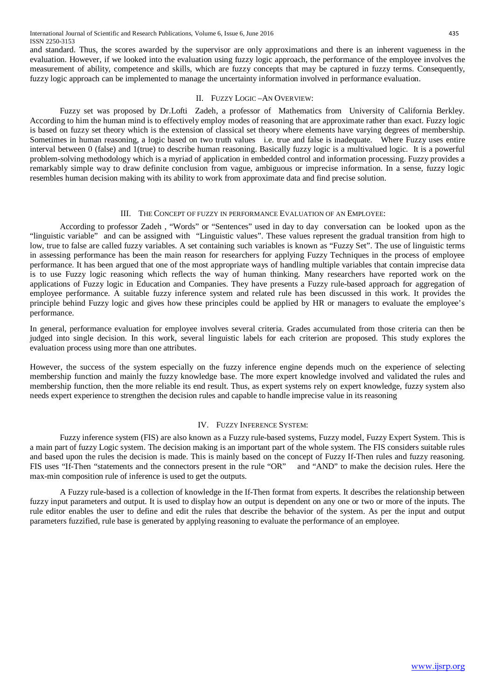and standard. Thus, the scores awarded by the supervisor are only approximations and there is an inherent vagueness in the evaluation. However, if we looked into the evaluation using fuzzy logic approach, the performance of the employee involves the measurement of ability, competence and skills, which are fuzzy concepts that may be captured in fuzzy terms. Consequently, fuzzy logic approach can be implemented to manage the uncertainty information involved in performance evaluation.

## II. FUZZY LOGIC –AN OVERVIEW:

Fuzzy set was proposed by Dr.Lofti Zadeh, a professor of Mathematics from University of California Berkley. According to him the human mind is to effectively employ modes of reasoning that are approximate rather than exact. Fuzzy logic is based on fuzzy set theory which is the extension of classical set theory where elements have varying degrees of membership. Sometimes in human reasoning, a logic based on two truth values i.e. true and false is inadequate. Where Fuzzy uses entire interval between 0 (false) and 1(true) to describe human reasoning. Basically fuzzy logic is a multivalued logic. It is a powerful problem-solving methodology which is a myriad of application in embedded control and information processing. Fuzzy provides a remarkably simple way to draw definite conclusion from vague, ambiguous or imprecise information. In a sense, fuzzy logic resembles human decision making with its ability to work from approximate data and find precise solution.

## III. THE CONCEPT OF FUZZY IN PERFORMANCE EVALUATION OF AN EMPLOYEE:

According to professor Zadeh , "Words" or "Sentences" used in day to day conversation can be looked upon as the "linguistic variable" and can be assigned with "Linguistic values". These values represent the gradual transition from high to low, true to false are called fuzzy variables. A set containing such variables is known as "Fuzzy Set". The use of linguistic terms in assessing performance has been the main reason for researchers for applying Fuzzy Techniques in the process of employee performance. It has been argued that one of the most appropriate ways of handling multiple variables that contain imprecise data is to use Fuzzy logic reasoning which reflects the way of human thinking. Many researchers have reported work on the applications of Fuzzy logic in Education and Companies. They have presents a Fuzzy rule-based approach for aggregation of employee performance. A suitable fuzzy inference system and related rule has been discussed in this work. It provides the principle behind Fuzzy logic and gives how these principles could be applied by HR or managers to evaluate the employee's performance.

In general, performance evaluation for employee involves several criteria. Grades accumulated from those criteria can then be judged into single decision. In this work, several linguistic labels for each criterion are proposed. This study explores the evaluation process using more than one attributes.

However, the success of the system especially on the fuzzy inference engine depends much on the experience of selecting membership function and mainly the fuzzy knowledge base. The more expert knowledge involved and validated the rules and membership function, then the more reliable its end result. Thus, as expert systems rely on expert knowledge, fuzzy system also needs expert experience to strengthen the decision rules and capable to handle imprecise value in its reasoning

## IV. FUZZY INFERENCE SYSTEM:

Fuzzy inference system (FIS) are also known as a Fuzzy rule-based systems, Fuzzy model, Fuzzy Expert System. This is a main part of fuzzy Logic system. The decision making is an important part of the whole system. The FIS considers suitable rules and based upon the rules the decision is made. This is mainly based on the concept of Fuzzy If-Then rules and fuzzy reasoning. FIS uses "If-Then "statements and the connectors present in the rule "OR" and "AND" to make the decision rules. Here the max-min composition rule of inference is used to get the outputs.

A Fuzzy rule-based is a collection of knowledge in the If-Then format from experts. It describes the relationship between fuzzy input parameters and output. It is used to display how an output is dependent on any one or two or more of the inputs. The rule editor enables the user to define and edit the rules that describe the behavior of the system. As per the input and output parameters fuzzified, rule base is generated by applying reasoning to evaluate the performance of an employee.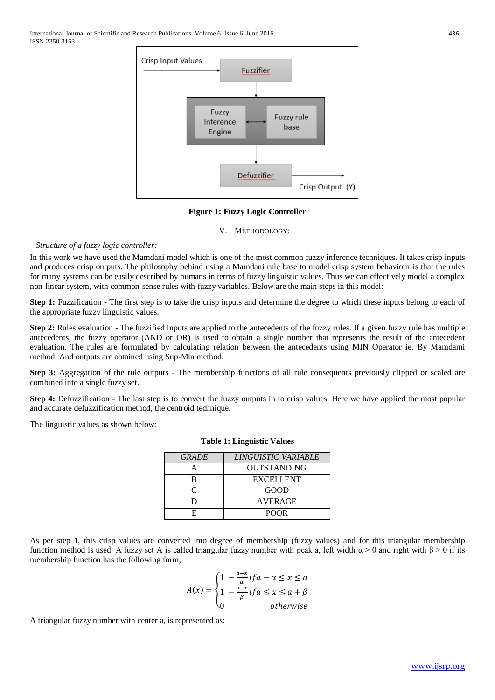

#### **Figure 1: Fuzzy Logic Controller**

#### V. METHODOLOGY:

## *Structure of a fuzzy logic controller:*

In this work we have used the Mamdani model which is one of the most common fuzzy inference techniques. It takes crisp inputs and produces crisp outputs. The philosophy behind using a Mamdani rule base to model crisp system behaviour is that the rules for many systems can be easily described by humans in terms of fuzzy linguistic values. Thus we can effectively model a complex non-linear system, with common-sense rules with fuzzy variables. Below are the main steps in this model:

**Step 1:** Fuzzification - The first step is to take the crisp inputs and determine the degree to which these inputs belong to each of the appropriate fuzzy linguistic values.

**Step 2:** Rules evaluation - The fuzzified inputs are applied to the antecedents of the fuzzy rules. If a given fuzzy rule has multiple antecedents, the fuzzy operator (AND or OR) is used to obtain a single number that represents the result of the antecedent evaluation. The rules are formulated by calculating relation between the antecedents using MIN Operator ie. By Mamdami method. And outputs are obtained using Sup-Min method.

**Step 3:** Aggregation of the rule outputs - The membership functions of all rule consequents previously clipped or scaled are combined into a single fuzzy set.

**Step 4:** Defuzzification - The last step is to convert the fuzzy outputs in to crisp values. Here we have applied the most popular and accurate defuzzification method, the centroid technique.

The linguistic values as shown below:

| <b>GRADE</b> | LINGUISTIC VARIABLE |
|--------------|---------------------|
|              | <b>OUTSTANDING</b>  |
| в            | <b>EXCELLENT</b>    |
|              | GOOD                |
|              | <b>AVERAGE</b>      |
|              | <b>POOR</b>         |

## **Table 1: Linguistic Values**

As per step 1, this crisp values are converted into degree of membership (fuzzy values) and for this triangular membership function method is used. A fuzzy set A is called triangular fuzzy number with peak a, left width  $\alpha$  > 0 and right with  $\beta$  > 0 if its membership function has the following form,

$$
A(x) = \begin{cases} 1 & -\frac{a-x}{\alpha} \text{ if } a - \alpha \le x \le a \\ 1 & -\frac{a-x}{\beta} \text{ if } a \le x \le a + \beta \\ 0 & \text{otherwise} \end{cases}
$$

A triangular fuzzy number with center a, is represented as: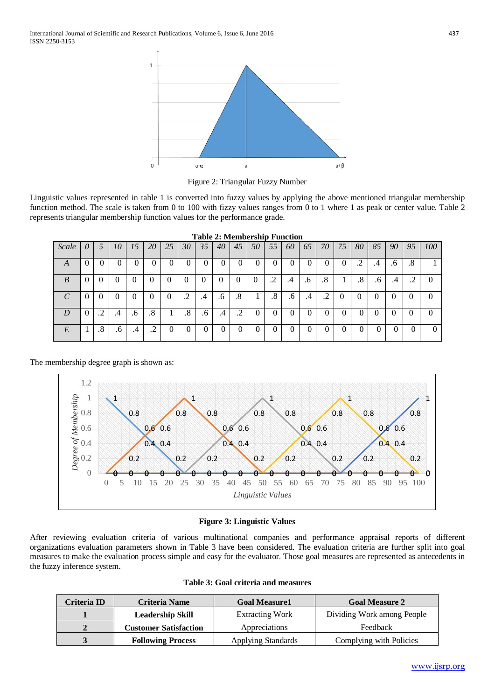

Figure 2: Triangular Fuzzy Number

Linguistic values represented in table 1 is converted into fuzzy values by applying the above mentioned triangular membership function method. The scale is taken from 0 to 100 with fizzy values ranges from 0 to 1 where 1 as peak or center value. Table 2 represents triangular membership function values for the performance grade.

|            |          |                     |        |           |                     |              |          |        | $1$ apro $2$ , ivioling simp $\Gamma$ unction |                          |        |            |    |            |                               |          |         |          |          |                          |          |
|------------|----------|---------------------|--------|-----------|---------------------|--------------|----------|--------|-----------------------------------------------|--------------------------|--------|------------|----|------------|-------------------------------|----------|---------|----------|----------|--------------------------|----------|
| Scale      | $\theta$ |                     | 10     | 15        | 20                  | 25           | 30       | 35     | 40                                            | 45                       | 50     | 55         | 60 | 65         | 70                            | 75       | 80      | 85       | 90       | 95                       | 100      |
| $\Delta$   | $\Omega$ |                     | O      |           |                     | 0            |          |        | O                                             |                          |        | O          |    |            | υ                             |          | ◠<br>.4 | .4       | .6       | Ω<br>$\cdot^{\circ}$     |          |
| B          | $\theta$ |                     | 0      |           | $\theta$            | 0            | 0        | $\cup$ | 0                                             | 0                        | $\cup$ | $\cdot$ .2 | .4 | $\cdot$ .6 | .8                            |          | $.8\,$  | .6       | .4       | $\overline{\phantom{a}}$ | $\theta$ |
| $\sqrt{ }$ | $\theta$ |                     | 0      |           | $\theta$            | $\theta$     | ◠<br>. 4 | .4     | .6                                            | .8                       |        | $.8\,$     | .6 | .4         | ി<br>$\overline{\phantom{a}}$ | $\theta$ |         | 0        | $\theta$ |                          | 0        |
| D          | $\theta$ | ∍<br>$\overline{v}$ | .4     | $\cdot 6$ | .8                  | $\mathbf{r}$ | .8       | .6     | .4                                            | $\overline{\phantom{a}}$ |        | O          |    | 0          | v                             |          | U       | $\theta$ |          |                          |          |
| E          |          | $.8\,$              | $.6\,$ | .4        | ◠<br>$\overline{v}$ | O            |          | 0      | $_{0}$                                        |                          |        | $\theta$   | 0  | 0          | U                             | 0        | 0       | υ        |          |                          |          |

**Table 2: Membership Function**

The membership degree graph is shown as:



## **Figure 3: Linguistic Values**

After reviewing evaluation criteria of various multinational companies and performance appraisal reports of different organizations evaluation parameters shown in Table 3 have been considered. The evaluation criteria are further split into goal measures to make the evaluation process simple and easy for the evaluator. Those goal measures are represented as antecedents in the fuzzy inference system.

|  |  |  |  | Table 3: Goal criteria and measures |
|--|--|--|--|-------------------------------------|
|--|--|--|--|-------------------------------------|

| Criteria ID | Criteria Name                | <b>Goal Measure1</b>   | <b>Goal Measure 2</b>      |
|-------------|------------------------------|------------------------|----------------------------|
|             | <b>Leadership Skill</b>      | <b>Extracting Work</b> | Dividing Work among People |
|             | <b>Customer Satisfaction</b> | <b>Appreciations</b>   | Feedback                   |
|             | <b>Following Process</b>     | Applying Standards     | Complying with Policies    |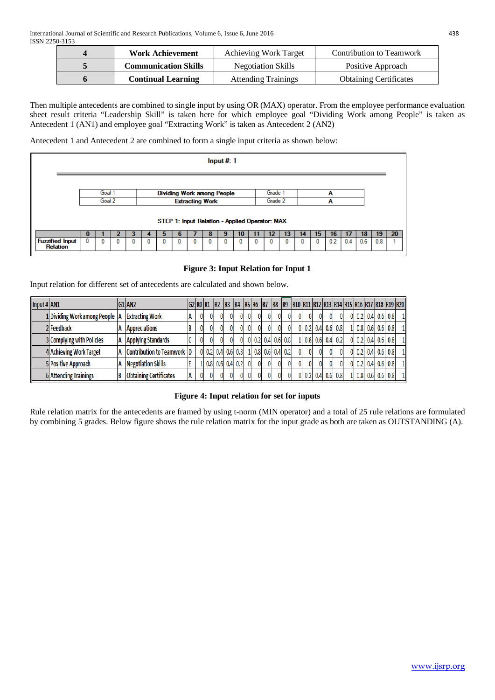| <b>Work Achievement</b>     | <b>Achieving Work Target</b> | Contribution to Teamwork      |
|-----------------------------|------------------------------|-------------------------------|
| <b>Communication Skills</b> | <b>Negotiation Skills</b>    | Positive Approach             |
| <b>Continual Learning</b>   | <b>Attending Trainings</b>   | <b>Obtaining Certificates</b> |

Then multiple antecedents are combined to single input by using OR (MAX) operator. From the employee performance evaluation sheet result criteria "Leadership Skill" is taken here for which employee goal "Dividing Work among People" is taken as Antecedent 1 (AN1) and employee goal "Extracting Work" is taken as Antecedent 2 (AN2)

Antecedent 1 and Antecedent 2 are combined to form a single input criteria as shown below:

|                                           |                                                                                                                 |   |  |   |   |   |   |              |   | Input $#$ : 1 |    |    |    |    |    |     |     |     |     |    |
|-------------------------------------------|-----------------------------------------------------------------------------------------------------------------|---|--|---|---|---|---|--------------|---|---------------|----|----|----|----|----|-----|-----|-----|-----|----|
|                                           | Goal 1<br>Grade 1<br><b>Dividing Work among People</b><br>A<br>Goal 2<br>Grade 2<br><b>Extracting Work</b><br>A |   |  |   |   |   |   |              |   |               |    |    |    |    |    |     |     |     |     |    |
|                                           | STEP 1: Input Relation - Applied Operator: MAX                                                                  |   |  |   |   |   |   |              |   |               |    |    |    |    |    |     |     |     |     |    |
|                                           | o                                                                                                               |   |  |   |   | h |   |              |   |               | 10 | 12 | 13 | 14 | 15 | 16  |     | 18  | 19  | 20 |
| <b>Fuzzified Input</b><br><b>Relation</b> | 0                                                                                                               | 0 |  | 0 | n | 0 | o | $\mathbf{0}$ | 0 |               |    |    |    | 0  | 0  | 0.2 | 0.4 | 0.6 | 0.8 |    |
|                                           |                                                                                                                 |   |  |   |   |   |   |              |   |               |    |    |    |    |    |     |     |     |     |    |

## **Figure 3: Input Relation for Input 1**

Input relation for different set of antecedents are calculated and shown below.

| Input $\sharp$ AN1 |                                  | G1 AN2                        |   |    |    | G2 RO R1 R2 R3 R4 R5 R6 R7 |              |   | IR8 | IR9                 |               |              |     |                   |    |                  |         |     |     | R10  R11  R12  R13  R14  R15  R16  R17  R18  R19  R20 |
|--------------------|----------------------------------|-------------------------------|---|----|----|----------------------------|--------------|---|-----|---------------------|---------------|--------------|-----|-------------------|----|------------------|---------|-----|-----|-------------------------------------------------------|
|                    | 1 Dividing Work among People   A | <b>Extracting Work</b>        |   | 01 | 01 | 01                         |              |   |     | 01                  |               |              | 01  |                   |    |                  | 0.2 0.4 | 0.6 | 0.8 | 11                                                    |
|                    | 2 Feedback                       | <b>Appreciations</b>          |   | 01 | 01 | 01                         |              |   |     |                     |               |              |     | $0.2$ 0.4 0.6 0.8 |    |                  | 0.8 0.6 | 0.6 | 0.8 | 11                                                    |
|                    | 3 Complying with Policies        | <b>Applying Standards</b>     |   | 01 | 01 | 01                         |              |   |     | $0$ 0.2 0.4 0.6 0.8 | $0.8$ 0.6 0.4 |              |     | 0.2               | 01 |                  | 0.2 0.4 | 0.6 | 0.8 | 11                                                    |
|                    | 4 Achieving Work Target          | Contribution to Teamwork  D   |   |    |    | 0 0.2 0.4 0.6 0.8          |              |   |     | 1 0.8 0.6 0.4 0.2   |               |              |     |                   |    |                  | 0.2 0.4 | 0.6 | 0.8 | 11                                                    |
|                    | 5 Positive Approach              | <b>Negotiation Skills</b>     |   |    |    | $0.8$ 0.6 0.4 0.2          | $\mathbf{0}$ | 0 | 0   | 01                  |               |              |     |                   |    | 0.2 <sub>1</sub> | 0.4     | 0.6 | 0.8 | 11                                                    |
|                    | 6 Attending Trainings            | <b>Obtaining Certificates</b> | 0 | 01 | 01 | 01                         |              |   | 0   |                     |               | $0.2 \, 0.4$ | 0.6 | 0.8               |    | 0.8              | 0.6     | 0.6 | 0.8 | 11                                                    |

## **Figure 4: Input relation for set for inputs**

Rule relation matrix for the antecedents are framed by using t-norm (MIN operator) and a total of 25 rule relations are formulated by combining 5 grades. Below figure shows the rule relation matrix for the input grade as both are taken as OUTSTANDING (A).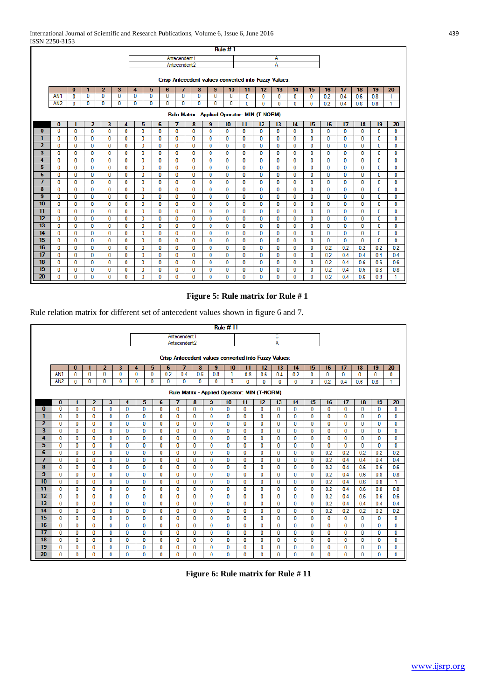|                 |                 |              |                |                         |              |              |                          |              |              |                          |                | <b>Rule #1</b> |                                                      |              |              |              |              |              |              |                 |              |              |
|-----------------|-----------------|--------------|----------------|-------------------------|--------------|--------------|--------------------------|--------------|--------------|--------------------------|----------------|----------------|------------------------------------------------------|--------------|--------------|--------------|--------------|--------------|--------------|-----------------|--------------|--------------|
|                 |                 |              |                |                         |              |              |                          |              | Antecendent1 |                          |                |                |                                                      |              | Α            |              |              |              |              |                 |              |              |
|                 |                 |              |                |                         |              |              |                          |              | Antecendent2 |                          |                |                |                                                      |              | A            |              |              |              |              |                 |              |              |
|                 |                 |              |                |                         |              |              |                          |              |              |                          |                |                |                                                      |              |              |              |              |              |              |                 |              |              |
|                 |                 |              |                |                         |              |              |                          |              |              |                          |                |                | Crisp Antecedent values converted into Fuzzy Values: |              |              |              |              |              |              |                 |              |              |
|                 |                 | $\bf{0}$     | 1              | $\overline{2}$          | 3            | 4            | 5                        |              | 6            | 7                        | 8<br>9         | 10             | 11                                                   | 12           | 13           | 14           | 15           | 16           | 17           | 18              | 19           | 20           |
|                 | AN <sub>1</sub> | $\mathbf{0}$ | 0              | $\Omega$                | $\Omega$     |              | $\mathbf{0}$<br>$\bf{0}$ |              | $\mathbf{0}$ | $\bf{0}$<br>$\mathbf{0}$ | $\mathbf 0$    | $\bf{0}$       | $\mathbf{0}$                                         | $\mathbf{0}$ | $\mathbf{0}$ | $\mathbf 0$  | $\mathbf{0}$ | 0.2          | 0.4          | 0.6             | 0.8          | 1            |
|                 | AN <sub>2</sub> | $\bf{0}$     | 0              | 0                       | $\mathbf 0$  |              | 0<br>0                   |              | 0            | 0<br>$\mathbf 0$         | 0              | 0              | $\bf{0}$                                             | 0            | 0            | $\bf{0}$     | 0            | 0.2          | 0.4          | 0.6             | 0.8          | 1            |
|                 |                 |              |                |                         |              |              |                          |              |              |                          |                |                | Rule Matrix - Applied Operator: MIN (T-NORM)         |              |              |              |              |              |              |                 |              |              |
|                 | $\bf{0}$        | 1            | $\overline{2}$ | $\overline{\mathbf{3}}$ | 4            |              | 5                        | 6            | 7            | 8                        | $\overline{9}$ | 10             | 11                                                   | 12           | 13           | 14           | 15           | 16           | 17           | $\overline{18}$ | 19           | 20           |
| $\overline{0}$  | $\overline{0}$  | $\mathbf{0}$ | 0              | $\mathbf{0}$            | $\mathbf{0}$ |              | $\mathbf 0$              | $\mathbf{0}$ | 0            | $\bf{0}$                 | $\mathbf{0}$   | $\mathbf{0}$   | $\mathbf{0}$                                         | $\mathbf{0}$ | $\mathbf{0}$ | $\mathbf{0}$ | $\bf{0}$     | $\mathbf 0$  | $\mathbf{0}$ | 0               | $\mathbf 0$  | $\mathbf{0}$ |
| 1               | $\mathbf{0}$    | $\mathbf 0$  | 0              | $\mathbf 0$             |              | 0            | 0                        | $\mathbf 0$  | 0            | 0                        | $\mathbf{0}$   | $\mathbf 0$    | 0                                                    | 0            | 0            | $\bf{0}$     | 0            | 0            | $\mathbf 0$  | 0               | $\mathbf{0}$ | 0            |
| $\overline{2}$  | $\Omega$        | $\mathbf{0}$ | 0              | $\mathbf{0}$            |              | 0            | 0                        | 0            | O            | $\bf{0}$                 | $\mathbf{0}$   | $\mathbf{0}$   | 0                                                    | 0            | $\bf{0}$     | 0            | $\mathbf{0}$ | $\mathbf{0}$ | $\mathbf{0}$ | 0               | $\Omega$     | 0            |
| 3               | $\mathbf{0}$    | $\mathbf{0}$ | $\mathbf{0}$   | $\mathbf{0}$            |              | 0            | 0                        | $\mathbf{0}$ | 0            | $\mathbf{0}$             | $\mathbf{0}$   | $\mathbf{0}$   | $\mathbf{0}$                                         | $\mathbf{0}$ | $\mathbf{0}$ | 0            | 0            | $\mathbf{0}$ | $\mathbf{0}$ | 0               | $\mathbf{0}$ | $\mathbf 0$  |
| 4               | $\Omega$        | $\Omega$     | 0              | 0                       |              | 0            | 0                        | 0            | 0            | $\mathbf{0}$             | 0              | 0              | 0                                                    | 0            | 0            | $\mathbf{0}$ | $\bf{0}$     | $\mathbf{0}$ | $\mathbf{0}$ | 0               | $\Omega$     | $\mathbf{0}$ |
| 5               | $\Omega$        | $\mathbf{0}$ | 0              | 0                       |              | 0            | 0                        | $\mathbf{0}$ | 0            | $\bf{0}$                 | $\bf{0}$       | $\mathbf{0}$   | $\mathbf{0}$                                         | 0            | $\bf{0}$     | 0            | $\bf{0}$     | 0            | $\mathbf{0}$ | 0               | $\bf{0}$     | 0            |
| $\overline{6}$  | 0               | $\mathbf{0}$ | 0              | 0                       |              | 0            | 0                        | 0            | 0            | $\mathbf{0}$             | 0              | 0              | 0                                                    | 0            | 0            | 0            | 0            | 0            | 0            | 0               | 0            | 0            |
| 7               | $\Omega$        | $\Omega$     | 0              | $\mathbf{0}$            | $\mathbf{0}$ |              | 0                        | 0            | 0            | $\bf{0}$                 | $\Omega$       | $\mathbf{0}$   | $\mathbf{0}$                                         | 0            | $\bf{0}$     | $\mathbf{0}$ | $\bf{0}$     | 0            | $\mathbf{0}$ | 0               | $\Omega$     | $\mathbf{0}$ |
| 8               | $\mathbf{0}$    | $\mathbf 0$  | 0              | 0                       |              | 0            | 0                        | $\mathbf 0$  | 0            | 0                        | 0              | 0              | 0                                                    | 0            | 0            | 0            | 0            | 0            | $\mathbf 0$  | 0               | 0            | 0            |
| 9               | $\Omega$        | $\mathbf{0}$ | $\bf{0}$       | 0                       |              | 0            | 0                        | 0            | 0            | $\bf{0}$                 | $\mathbf{0}$   | $\bf{0}$       | 0                                                    | 0            | $\bf{0}$     | 0            | 0            | n            | $\mathbf{0}$ | 0               | 0            | $\mathbf{0}$ |
| $\overline{10}$ | $\mathbf{0}$    | $\mathbf{0}$ | 0              | $\mathbf 0$             |              | 0            | 0                        | $\mathbf 0$  | 0            | $\bf{0}$                 | $\mathbf{0}$   | $\mathbf{0}$   | $\mathbf 0$                                          | 0            | 0            | 0            | $\mathbf 0$  | $\mathbf{0}$ | $\mathbf 0$  | 0               | $\mathbf{0}$ | $\mathbf 0$  |
| $\overline{11}$ | $\mathbf{0}$    | $\bf{0}$     | 0              | $\mathbf{0}$            |              | 0            | 0                        | $\bf{0}$     | 0            | $\bf{0}$                 | $\mathbf{0}$   | 0              | $\mathbf{0}$                                         | 0            | $\bf{0}$     | 0            | $\bf{0}$     | o            | $\mathbf{0}$ | 0               | $\mathbf{0}$ | 0            |
| 12              | $\bf{0}$        | $\mathbf{0}$ | 0              | 0                       |              | 0            | 0                        | $\mathbf{0}$ | 0            | 0                        | $\bf{0}$       | 0              | 0                                                    | 0            | 0            | 0            | 0            | 0            | 0            | 0               | $\bf{0}$     | 0            |
| 13              | $\mathbf{0}$    | $\mathbf 0$  | 0              | 0                       |              | $\mathbf{0}$ | 0                        | $\bf{0}$     | 0            | $\bf{0}$                 | $\bf{0}$       | 0              | 0                                                    | 0            | 0            | 0            | $\mathbf{0}$ | 0            | $\mathbf 0$  | 0               | 0            | $\mathbf{0}$ |
| 14              | $\Omega$        | $\mathbf{0}$ | 0              | $\mathbf{0}$            |              | 0            | 0                        | 0            | 0            | $\bf{0}$                 | $\bf{0}$       | $\mathbf{0}$   | $\mathbf{0}$                                         | 0            | $\bf{0}$     | $\mathbf{0}$ | 0            | 0            | $\mathbf{0}$ | 0               | $\bf{0}$     | $\mathbf{0}$ |
| 15              | $\mathbf{0}$    | 0            | 0              | 0                       |              | 0            | 0                        | 0            | 0            | 0                        | 0              | 0              | 0                                                    | 0            | 0            | 0            | 0            | 0            | 0            | 0               | 0            | 0            |
| 16              | $\Omega$        | $\mathbf{0}$ | 0              | 0                       |              | 0            | 0                        | 0            | 0            | $\mathbf{0}$             | $\bf{0}$       | 0              | 0                                                    | 0            | $\bf{0}$     | 0            | $\mathbf{0}$ | 0.2          | 0.2          | 0.2             | 0.2          | 0.2          |
| $\overline{17}$ | $\bf{0}$        | $\mathbf{0}$ | 0              | $\mathbf 0$             |              | 0            | 0                        | $\bf{0}$     | 0            | $\mathbf 0$              | 0              | $\mathbf 0$    | $\mathbf 0$                                          | 0            | 0            | 0            | $\mathbf{0}$ | 0.2          | 0.4          | 0.4             | 0.4          | 0.4          |
| 18              | $\mathbf{0}$    | $\mathbf{0}$ | $\mathbf{0}$   | $\mathbf{0}$            |              | 0            | 0                        | 0            | 0            | $\bf{0}$                 | 0              | $\mathbf{0}$   | $\mathbf{0}$                                         | 0            | 0            | $\bf{0}$     | $\mathbf{0}$ | 0.2          | 0.4          | 0.6             | 0.6          | 0.6          |
| 19              | $\mathbf{0}$    | $\mathbf{0}$ | 0              | 0                       |              | 0            | 0                        | 0            | 0            | 0                        | $\mathbf{0}$   | 0              | 0                                                    | 0            | $\mathbf{0}$ | 0            | 0            | 0.2          | 0.4          | 0.6             | 0.8          | 0.8          |
| 20              | $\Omega$        | 0            | 0              | 0                       |              | 0            | 0                        | 0            | 0            | 0                        | 0              | 0              | 0                                                    | 0            | 0            | 0            | 0            | 0.2          | 0.4          | 0.6             | 0.8          | 1            |

## **Figure 5: Rule matrix for Rule # 1**

Rule relation matrix for different set of antecedent values shown in figure 6 and 7.

|                         |                 |              |                |                         |              |              |                                              |              |                          |                         |                                                      | <b>Rule #11</b> |              |              |              |              |              |              |              |              |              |              |
|-------------------------|-----------------|--------------|----------------|-------------------------|--------------|--------------|----------------------------------------------|--------------|--------------------------|-------------------------|------------------------------------------------------|-----------------|--------------|--------------|--------------|--------------|--------------|--------------|--------------|--------------|--------------|--------------|
|                         |                 |              |                |                         |              |              |                                              |              | Antecendent1             |                         |                                                      |                 |              |              | с            |              |              |              |              |              |              |              |
|                         |                 |              |                |                         |              |              |                                              |              | Antecendent <sub>2</sub> |                         |                                                      |                 |              |              | A            |              |              |              |              |              |              |              |
|                         |                 |              |                |                         |              |              |                                              |              |                          |                         |                                                      |                 |              |              |              |              |              |              |              |              |              |              |
|                         |                 |              |                |                         |              |              |                                              |              |                          |                         | Crisp Antecedent values converted into Fuzzy Values: |                 |              |              |              |              |              |              |              |              |              |              |
|                         |                 | $\bf{0}$     | 1              | $\overline{2}$          | 3            | 4            | 5                                            |              | $\overline{7}$<br>6      | 8                       | 9                                                    | 10              | 11           | 12           | 13           | 14           | 15           | 16           | 17           | 18           | 19           | 20           |
|                         | AN <sub>1</sub> | $\mathbf{0}$ | $\mathbf{0}$   | $\bf{0}$                | $\mathbf{0}$ | $\mathbf{0}$ | $\mathbf{0}$                                 |              | 0.2<br>0.4               | 0.6                     | 0.8                                                  | 1               | 0.8          | 0.6          | 0.4          | 0.2          | 0            | 0            | $\mathbf 0$  | 0            | $\mathbf 0$  | 0            |
|                         | AN <sub>2</sub> | $\bf{0}$     | 0              | 0                       | 0            | 0            | 0                                            |              | 0<br>0                   | $\mathbf 0$             | 0                                                    | 0               | 0            | 0            | $\bf{0}$     | $\mathbf 0$  | 0            | 0.2          | 0.4          | 0.6          | 0.8          | 1            |
|                         |                 |              |                |                         |              |              | Rule Matrix - Applied Operator: MIN (T-NORM) |              |                          |                         |                                                      |                 |              |              |              |              |              |              |              |              |              |              |
|                         | $\bf{0}$        | 1            | $\overline{2}$ | $\overline{\mathbf{3}}$ | 4            |              | 5                                            | 6            | $\overline{7}$           | $\overline{\mathbf{8}}$ | 9                                                    | 10              | 11           | 12           | 13           | 14           | 15           | 16           | 17           | 18           | 19           | 20           |
| $\bf{0}$                | $\mathbf{0}$    | 0            | $\mathbf 0$    | 0                       | 0            |              | $\mathbf 0$                                  | 0            | $\mathbf 0$              | 0                       | $\bf{0}$                                             | 0               | $\bf{0}$     | 0            | 0            | 0            | 0            | 0            | $\mathbf 0$  | 0            | 0            | $\mathbf 0$  |
| 1                       | $\mathbf{0}$    | 0            | $\mathbf{0}$   | 0                       | $\bf{0}$     |              | 0                                            | 0            | $\mathbf 0$              | $\mathbf{0}$            | $\mathbf{0}$                                         | 0               | 0            | 0            | $\bf{0}$     | 0            | 0            | 0            | $\mathbf{0}$ | 0            | 0            | 0            |
| $\overline{2}$          | $\bf{0}$        | 0            | $\bf{0}$       | 0                       | $\bf{0}$     |              | $\mathbf{0}$                                 | 0            | $\bf{0}$                 | $\mathbf{0}$            | $\bf{0}$                                             | 0               | $\mathbf{0}$ | 0            | $\bf{0}$     | 0            | 0            | $\mathbf{0}$ | $\bf{0}$     | $\mathbf{0}$ | 0            | 0            |
| $\overline{\mathbf{3}}$ | $\mathbf{0}$    | 0            | $\mathbf 0$    | 0                       | 0            |              | $\mathbf 0$                                  | 0            | $\bf{0}$                 | $\mathbf 0$             | $\bf{0}$                                             | 0               | 0            | 0            | $\bf{0}$     | 0            | 0            | 0            | $\mathbf 0$  | 0            | 0            | 0            |
| 4                       | $\Omega$        | 0            | $\mathbf 0$    | 0                       | 0            |              | 0                                            | 0            | 0                        | 0                       | 0                                                    | 0               | 0            | 0            | 0            | 0            | 0            | 0            | $\mathbf{0}$ | 0            | 0            | 0            |
| 5                       | $\bf{0}$        | $\mathbf{0}$ | $\mathbf{0}$   | 0                       | $\bf{0}$     |              | $\mathbf{0}$                                 | 0            | $\mathbf 0$              | $\mathbf{0}$            | $\mathbf{0}$                                         | 0               | $\mathbf{0}$ | 0            | $\bf{0}$     | 0            | $\mathbf{0}$ | 0            | $\mathbf{0}$ | $\mathbf{0}$ | $\mathbf{0}$ | $\mathbf{0}$ |
| $\overline{6}$          | $\mathbf{0}$    | $\mathbf{0}$ | $\mathbf{0}$   | $\mathbf{0}$            | $\bf{0}$     |              | $\mathbf{0}$                                 | $\mathbf{0}$ | $\mathbf{0}$             | $\mathbf{0}$            | $\mathbf{0}$                                         | $\mathbf{0}$    | $\mathbf{0}$ | $\mathbf{0}$ | $\mathbf{0}$ | $\mathbf{0}$ | $\mathbf{0}$ | 0.2          | 0.2          | 0.2          | 0.2          | 0.2          |
| 7                       | $\mathbf{0}$    | 0            | $\mathbf 0$    | 0                       | 0            |              | 0                                            | 0            | 0                        | 0                       | 0                                                    | 0               | 0            | 0            | $\Omega$     | 0            | 0            | 0.2          | 0.4          | 0.4          | 0.4          | 0.4          |
| 8                       | $\bf{0}$        | 0            | $\bf{0}$       | 0                       | $\bf{0}$     |              | $\mathbf 0$                                  | 0            | $\bf{0}$                 | $\bf{0}$                | $\bf{0}$                                             | 0               | 0            | 0            | $\mathbf{0}$ | 0            | 0            | 0.2          | 0.4          | 0.6          | 0.6          | 0.6          |
| $\overline{9}$          | $\bf{0}$        | 0            | $\bf{0}$       | 0                       | $\bf{0}$     |              | $\mathbf{0}$                                 | 0            | $\mathbf{0}$             | $\mathbf{0}$            | $\mathbf{0}$                                         | $\mathbf{0}$    | $\mathbf{0}$ | 0            | $\mathbf{0}$ | 0            | $\mathbf{0}$ | 0.2          | 0.4          | 0.6          | 0.8          | 0.8          |
| 10                      | $\bf{0}$        | 0            | $\mathbf 0$    | 0                       | $\bf{0}$     |              | 0                                            | 0            | $\mathbf 0$              | 0                       | $\mathbf 0$                                          | 0               | 0            | 0            | 0            | 0            | 0            | 0.2          | 0.4          | 0.6          | 0.8          | $\mathbf{1}$ |
| $\overline{11}$         | $\Omega$        | $\bf{0}$     | $\mathbf{0}$   | 0                       | 0            |              | $\mathbf{0}$                                 | 0            | $\mathbf{0}$             | $\mathbf{0}$            | $\mathbf{0}$                                         | 0               | 0            | $\mathbf{0}$ | $\mathbf{0}$ | 0            | 0            | 0.2          | 0.4          | 0.6          | 0.8          | 0.8          |
| $\overline{12}$         | $\bf{0}$        | 0            | $\bf{0}$       | 0                       | $\bf{0}$     |              | $\mathbf{0}$                                 | 0            | $\mathbf{0}$             | $\mathbf{0}$            | $\mathbf{0}$                                         | 0               | 0            | 0            | $\mathbf{0}$ | 0            | $\bf{0}$     | 0.2          | 0.4          | 0.6          | 0.6          | 0.6          |
| 13                      | $\mathbf{0}$    | 0            | $\mathbf 0$    | 0                       | 0            |              | 0                                            | 0            | $\mathbf 0$              | 0                       | 0                                                    | 0               | 0            | 0            | $\bf{0}$     | 0            | 0            | 0.2          | 0.4          | 0.4          | 0.4          | 0.4          |
| 14                      | $\mathbf{0}$    | $\mathbf{0}$ | $\mathbf{0}$   | o                       | 0            |              | 0                                            | 0            | $\Omega$                 | $\mathbf{0}$            | $\mathbf{0}$                                         | $\mathbf{0}$    | 0            | 0            | $\mathbf{0}$ | 0            | 0            | 0.2          | 0.2          | 0.2          | 0.2          | 0.2          |
| 15                      | $\mathbf{0}$    | $\mathbf{0}$ | $\mathbf 0$    | 0                       | $\bf{0}$     |              | $\mathbf{0}$                                 | 0            | $\mathbf 0$              | $\mathbf{0}$            | $\mathbf{0}$                                         | 0               | 0            | 0            | $\bf{0}$     | 0            | 0            | 0            | $\bf{0}$     | $\mathbf{0}$ | 0            | $\mathbf 0$  |
| 16                      | $\mathbf 0$     | 0            | $\mathbf 0$    | 0                       | 0            |              | $\mathbf 0$                                  | 0            | 0                        | $\bf{0}$                | 0                                                    | 0               | 0            | 0            | $\bf{0}$     | 0            | 0            | 0            | $\mathbf 0$  | 0            | 0            | 0            |
| 17                      | $\mathbf{0}$    | 0            | $\mathbf 0$    | 0                       | 0            |              | 0                                            | 0            | 0                        | 0                       | $\mathbf 0$                                          | 0               | 0            | 0            | 0            | 0            | 0            | 0            | $\mathbf 0$  | 0            | 0            | 0            |
| 18                      | 0               | $\bf{0}$     | $\mathbf{0}$   | 0                       | $\mathbf{0}$ |              | $\mathbf{0}$                                 | 0            | $\mathbf{0}$             | $\mathbf{0}$            | $\mathbf{0}$                                         | 0               | $\mathbf{0}$ | 0            | $\bf{0}$     | 0            | $\mathbf{0}$ | 0            | $\mathbf 0$  | $\bf{0}$     | 0            | $\bf{0}$     |
| 19                      | $\bf{0}$        | 0            | $\bf{0}$       | 0                       | $\bf{0}$     |              | $\mathbf{0}$                                 | 0            | $\mathbf{0}$             | $\mathbf{0}$            | $\bf{0}$                                             | 0               | $\bf{0}$     | 0            | $\bf{0}$     | 0            | 0            | $\mathbf{0}$ | $\mathbf{0}$ | $\bf{0}$     | 0            | $\mathbf{0}$ |
| 20                      | 0               | 0            | $\mathbf 0$    | 0                       | $\mathbf{0}$ |              | 0                                            | 0            | 0                        | 0                       | $\mathbf{0}$                                         | 0               | 0            | 0            | $\mathbf{0}$ | 0            | 0            | 0            | $\mathbf{0}$ | 0            | $\mathbf{0}$ | $\mathbf{0}$ |

**Figure 6: Rule matrix for Rule # 11**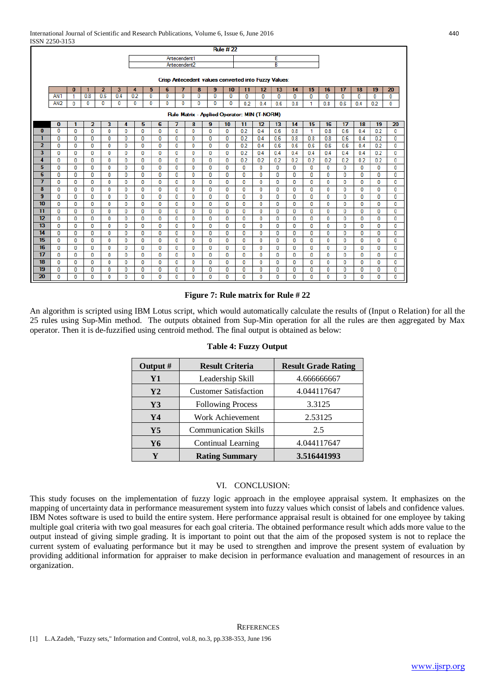|                         |                 |              |                |                |              |     |              |              |              |              |                                                      | <b>Rule #22</b> |              |              |              |              |              |              |              |              |              |              |
|-------------------------|-----------------|--------------|----------------|----------------|--------------|-----|--------------|--------------|--------------|--------------|------------------------------------------------------|-----------------|--------------|--------------|--------------|--------------|--------------|--------------|--------------|--------------|--------------|--------------|
|                         |                 |              |                |                |              |     |              |              | Antecendent1 |              |                                                      |                 |              |              | E            |              |              |              |              |              |              |              |
|                         |                 |              |                |                |              |     |              |              | Antecendent2 |              |                                                      |                 |              |              | B            |              |              |              |              |              |              |              |
|                         |                 |              |                |                |              |     |              |              |              |              |                                                      |                 |              |              |              |              |              |              |              |              |              |              |
|                         |                 |              |                |                |              |     |              |              |              |              | Crisp Antecedent values converted into Fuzzy Values: |                 |              |              |              |              |              |              |              |              |              |              |
|                         |                 | $\bf{0}$     | 1              | $\overline{2}$ | 3            | 4   | 5.           | 6            | 7            | 8            | 9                                                    | 10              | 11           | 12           | 13           | 14           | 15           | 16           | 17           | 18           | 19           | 20           |
|                         | AN <sub>1</sub> | $\mathbf{1}$ | 0.8            | 0.6            | 0.4          | 0.2 | 0            | $\mathbf{0}$ | $\mathbf{0}$ | 0            | $\mathbf{0}$                                         | 0               | 0            | $\mathbf{0}$ | $\mathbf{0}$ | $\mathbf{0}$ | $\mathbf{0}$ | $\bf{0}$     | $\mathbf{0}$ | $\mathbf{0}$ | $\mathbf{0}$ | 0            |
|                         | AN2             | 0            | 0              | 0              | 0            | 0   | 0            | 0            | 0            | 0            | 0                                                    | 0               | 0.2          | 0.4          | 0.6          | 0.8          | 1            | 0.8          | 0.6          | 0.4          | 0.2          | 0            |
|                         |                 |              |                |                |              |     |              |              |              |              | Rule Matrix - Applied Operator: MIN (T-NORM)         |                 |              |              |              |              |              |              |              |              |              |              |
|                         | $\bf{0}$        |              | $\overline{2}$ | 3              | 4            |     | 5            | 6            | 7            | 8            | 9                                                    | 10              | 11           | 12           | 13           | 14           | 15           | 16           | 17           | 18           | 19           | 20           |
| $\bf{0}$                | $\overline{0}$  | $\mathbf{0}$ | $\mathbf{0}$   | $\mathbf{0}$   | $\mathbf{0}$ |     | $\mathbf{0}$ | $\mathbf{0}$ | $\mathbf{0}$ | $\Omega$     | $\mathbf{0}$                                         | 0               | 0.2          | 0.4          | 0.6          | 0.8          | 1.           | 0.8          | 0.6          | 0.4          | 0.2          | $\mathbf{0}$ |
| 1                       | $\Omega$        | 0            | $\bf{0}$       | 0              | 0            |     | 0            | 0            | $\bf{0}$     | 0            | O                                                    | 0               | 0.2          | 0.4          | 0.6          | 0.8          | 0.8          | 0.8          | 0.6          | 0.4          | 0.2          | 0            |
| $\overline{2}$          | $\mathbf{0}$    | 0            | 0              | 0              | 0            |     | 0            | 0            | 0            | $\mathbf 0$  | 0                                                    | 0               | 0.2          | 0.4          | 0.6          | 0.6          | 0.6          | 0.6          | 0.6          | 0.4          | 0.2          | $\mathbf 0$  |
| $\overline{\mathbf{3}}$ | $\Omega$        | $\Omega$     | 0              | $\mathbf{0}$   | 0            |     | 0            | 0            | 0            | 0            | 0                                                    | 0               | 0.2          | 0.4          | 0.4          | 0.4          | 0.4          | 0.4          | 0.4          | 0.4          | 0.2          | $\mathbf{0}$ |
| 4                       | $\bf{0}$        | $\mathbf{0}$ | $\mathbf{0}$   | $\mathbf{0}$   | $\bf{0}$     |     | 0            | 0            | $\bf{0}$     | 0            | 0                                                    | 0               | 0.2          | 0.2          | 0.2          | 0.2          | 0.2          | 0.2          | 0.2          | 0.2          | 0.2          | $\mathbf{0}$ |
| 5                       | $\Omega$        | $\mathbf{0}$ | 0              | $\mathbf{0}$   | 0            |     | 0            | 0            | $\mathbf{0}$ | 0            | 0                                                    | 0               | $\mathbf 0$  | 0            | $\mathbf{0}$ | 0            | 0            | $\mathbf{0}$ | $\mathbf{0}$ | 0            | $\mathbf{0}$ | $\mathbf 0$  |
| 6                       | $\Omega$        | $\mathbf{0}$ | 0              | $\mathbf{0}$   | 0            |     | 0            | 0            | $\bf{0}$     | 0            | 0                                                    | $\mathbf{0}$    | $\mathbf{0}$ | $\bf{0}$     | 0            | 0            | 0            | $\Omega$     | $\mathbf{0}$ | 0            | $\bf{0}$     | 0            |
| $\overline{7}$          | $\Omega$        | $\mathbf{0}$ | $\mathbf{0}$   | $\mathbf{0}$   | $\mathbf{0}$ |     | 0            | $\mathbf{0}$ | $\bf{0}$     | $\mathbf{0}$ | $\mathbf{0}$                                         | $\mathbf{0}$    | $\mathbf{0}$ | $\mathbf{0}$ | $\mathbf{0}$ | $\mathbf{0}$ | 0            | $\mathbf{0}$ | $\mathbf{0}$ | 0            | $\mathbf{0}$ | $\mathbf{0}$ |
| 8                       | o               | 0            | 0              | 0              | 0            |     | 0            | 0            | 0            | 0            | o                                                    | 0               | $\mathbf{0}$ | 0            | 0            | 0            | 0            | $\Omega$     | 0            | 0            | 0            | $\mathbf 0$  |
| $\overline{9}$          | $\mathbf{0}$    | 0            | 0              | 0              | 0            |     | 0            | 0            | $\mathbf{0}$ | $\mathbf{0}$ | 0                                                    | 0               | $\mathbf{0}$ | 0            | 0            | 0            | 0            | 0            | 0            | 0            | $\mathbf{0}$ | 0            |
| 10                      | $\Omega$        | $\mathbf{0}$ | 0              | $\mathbf{0}$   | 0            |     | 0            | 0            | $\mathbf{0}$ | 0            | 0                                                    | 0               | $\mathbf 0$  | 0            | $\mathbf{0}$ | $\mathbf{0}$ | 0            | $\mathbf{0}$ | $\mathbf{0}$ | $\mathbf{0}$ | $\mathbf{0}$ | $\mathbf 0$  |
| 11                      | $\Omega$        | $\mathbf{0}$ | 0              | 0              | 0            |     | 0            | 0            | $\bf{0}$     | 0            | 0                                                    | 0               | $\bf{0}$     | $\bf{0}$     | 0            | 0            | 0            | 0            | 0            | 0            | $\bf{0}$     | $\mathbf{0}$ |
| 12                      | $\Omega$        | $\mathbf{0}$ | 0              | $\mathbf{0}$   | $\mathbf{0}$ |     | 0            | $\mathbf{0}$ | $\bf{0}$     | 0            | $\mathbf{0}$                                         | $\mathbf{0}$    | $\bf{0}$     | 0            | $\mathbf{0}$ | 0            | 0            | $\mathbf{0}$ | $\mathbf{0}$ | 0            | $\mathbf{0}$ | $\mathbf 0$  |
| 13                      | $\mathbf{0}$    | 0            | $\mathbf 0$    | 0              | 0            |     | 0            | 0            | $\bf{0}$     | 0            | 0                                                    | 0               | $\mathbf{0}$ | $\bf{0}$     | 0            | 0            | 0            | 0            | 0            | 0            | 0            | $\mathbf 0$  |
| 14                      | $\Omega$        | $\mathbf{0}$ | $\mathbf{0}$   | $\mathbf{0}$   | $\mathbf{0}$ |     | 0            | $\mathbf{0}$ | $\bf{0}$     | 0            | 0                                                    | 0               | $\mathbf 0$  | $\mathbf{0}$ | 0            | 0            | 0            | 0            | $\mathbf{0}$ | 0            | $\bf{0}$     | $\mathbf{0}$ |
| $\overline{15}$         | $\mathbf{0}$    | $\mathbf{0}$ | 0              | $\mathbf{0}$   | $\mathbf{0}$ |     | 0            | $\mathbf{0}$ | $\mathbf{0}$ | $\mathbf{0}$ | $\mathbf{0}$                                         | $\mathbf{0}$    | $\mathbf{0}$ | $\mathbf{0}$ | $\mathbf{0}$ | $\mathbf{0}$ | 0            | $\mathbf{0}$ | $\mathbf{0}$ | $\mathbf{0}$ | $\mathbf{0}$ | $\mathbf 0$  |
| 16                      | 0               | 0            | 0              | 0              |              | 0   | 0            | 0            | $\bf{0}$     | $\mathbf 0$  | 0                                                    | 0               | 0            | 0            | 0            | 0            | 0            | 0            | 0            | 0            | 0            | 0            |
| 17                      | $\Omega$        | $\mathbf{0}$ | 0              | $\mathbf{0}$   | $\mathbf{0}$ |     | 0            | 0            | $\bf{0}$     | 0            | 0                                                    | 0               | $\mathbf 0$  | 0            | $\mathbf{0}$ | $\mathbf{0}$ | 0            | $\bf{0}$     | $\mathbf{0}$ | 0            | $\bf{0}$     | $\mathbf 0$  |
| 18                      | $\mathbf{0}$    | 0            | 0              | 0              |              | 0   | 0            | 0            | $\bf{0}$     | 0            | 0                                                    | 0               | $\mathbf 0$  | $\mathbf 0$  | 0            | 0            | 0            | 0            | 0            | 0            | 0            | $\mathbf 0$  |
| 19                      | $\bf{0}$        | 0            | $\bf{0}$       | 0              | 0            |     | 0            | 0            | $\bf{0}$     | 0            | 0                                                    | 0               | $\mathbf{0}$ | $\bf{0}$     | 0            | 0            | 0            | 0            | $\mathbf{0}$ | 0            | 0            | $\bf{0}$     |
| 20                      | $\mathbf{0}$    | $\mathbf{0}$ | 0              | $\mathbf{0}$   |              | 0   | 0            | 0            | $\mathbf{0}$ | $\mathbf{0}$ | $\mathbf{0}$                                         | $\mathbf{0}$    | $\mathbf{0}$ | $\mathbf{0}$ | $\mathbf{0}$ | $\mathbf{0}$ | 0            | $\mathbf{0}$ | $\mathbf{0}$ | 0            | $\mathbf{0}$ | $\mathbf{0}$ |

## **Figure 7: Rule matrix for Rule # 22**

An algorithm is scripted using IBM Lotus script, which would automatically calculate the results of (Input o Relation) for all the 25 rules using Sup-Min method. The outputs obtained from Sup-Min operation for all the rules are then aggregated by Max operator. Then it is de-fuzzified using centroid method. The final output is obtained as below:

| Output #       | <b>Result Criteria</b>       | <b>Result Grade Rating</b> |
|----------------|------------------------------|----------------------------|
| Y1             | Leadership Skill             | 4.666666667                |
| Y2             | <b>Customer Satisfaction</b> | 4.044117647                |
| $\mathbf{Y}3$  | <b>Following Process</b>     | 3.3125                     |
| Y4             | Work Achievement             | 2.53125                    |
| $\mathbf{Y}$ 5 | <b>Communication Skills</b>  | 2.5                        |
| Y6             | Continual Learning           | 4.044117647                |
|                | <b>Rating Summary</b>        | 3.516441993                |

## **Table 4: Fuzzy Output**

## VI. CONCLUSION:

This study focuses on the implementation of fuzzy logic approach in the employee appraisal system. It emphasizes on the mapping of uncertainty data in performance measurement system into fuzzy values which consist of labels and confidence values. IBM Notes software is used to build the entire system. Here performance appraisal result is obtained for one employee by taking multiple goal criteria with two goal measures for each goal criteria. The obtained performance result which adds more value to the output instead of giving simple grading. It is important to point out that the aim of the proposed system is not to replace the current system of evaluating performance but it may be used to strengthen and improve the present system of evaluation by providing additional information for appraiser to make decision in performance evaluation and management of resources in an organization.

## **REFERENCES**